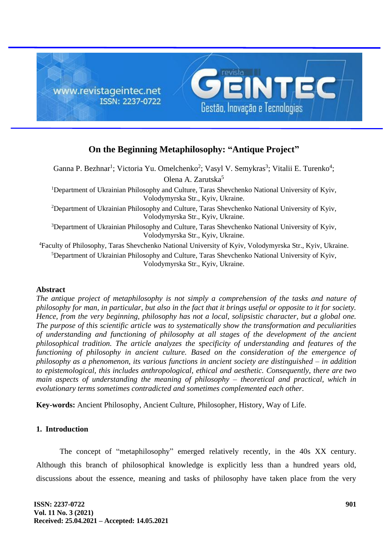

# **On the Beginning Metaphilosophy: "Antique Project"**

Ganna P. Bezhnar<sup>1</sup>; Victoria Yu. Omelchenko<sup>2</sup>; Vasyl V. Semykras<sup>3</sup>; Vitalii E. Turenko<sup>4</sup>; Olena A. Zarutska<sup>5</sup> <sup>1</sup>Department of Ukrainian Philosophy and Culture, Taras Shevchenko National University of Kyiv, Volodymyrska Str., Kyiv, Ukraine. <sup>2</sup>Department of Ukrainian Philosophy and Culture, Taras Shevchenko National University of Kyiv, Volodymyrska Str., Kyiv, Ukraine. <sup>3</sup>Department of Ukrainian Philosophy and Culture, Taras Shevchenko National University of Kyiv, Volodymyrska Str., Kyiv, Ukraine. <sup>4</sup>Faculty of Philosophy, Taras Shevchenko National University of Kyiv, Volodymyrska Str., Kyiv, Ukraine.

<sup>5</sup>Department of Ukrainian Philosophy and Culture, Taras Shevchenko National University of Kyiv, Volodymyrska Str., Kyiv, Ukraine.

# **Abstract**

*The antique project of metaphilosophy is not simply a comprehension of the tasks and nature of philosophy for man, in particular, but also in the fact that it brings useful or opposite to it for society. Hence, from the very beginning, philosophy has not a local, solipsistic character, but a global one. The purpose of this scientific article was to systematically show the transformation and peculiarities of understanding and functioning of philosophy at all stages of the development of the ancient philosophical tradition. The article analyzes the specificity of understanding and features of the functioning of philosophy in ancient culture. Based on the consideration of the emergence of philosophy as a phenomenon, its various functions in ancient society are distinguished – in addition to epistemological, this includes anthropological, ethical and aesthetic. Consequently, there are two main aspects of understanding the meaning of philosophy – theoretical and practical, which in evolutionary terms sometimes contradicted and sometimes complemented each other.*

**Key-words:** Ancient Philosophy, Ancient Culture, Philosopher, History, Way of Life.

# **1. Introduction**

The concept of "metaphilosophy" emerged relatively recently, in the 40s XX century. Although this branch of philosophical knowledge is explicitly less than a hundred years old, discussions about the essence, meaning and tasks of philosophy have taken place from the very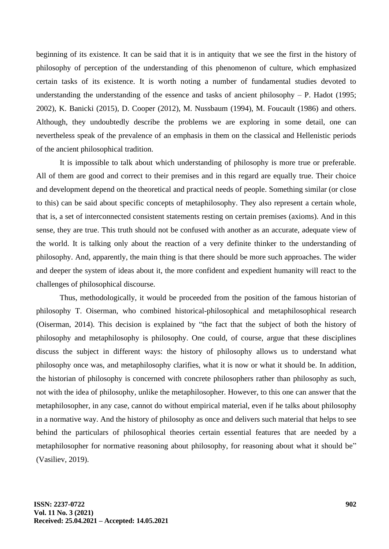beginning of its existence. It can be said that it is in antiquity that we see the first in the history of philosophy of perception of the understanding of this phenomenon of culture, which emphasized certain tasks of its existence. It is worth noting a number of fundamental studies devoted to understanding the understanding of the essence and tasks of ancient philosophy  $- P$ . Hadot (1995; 2002), K. Banicki (2015), D. Cooper (2012), M. Nussbaum (1994), M. Foucault (1986) and others. Although, they undoubtedly describe the problems we are exploring in some detail, one can nevertheless speak of the prevalence of an emphasis in them on the classical and Hellenistic periods of the ancient philosophical tradition.

It is impossible to talk about which understanding of philosophy is more true or preferable. All of them are good and correct to their premises and in this regard are equally true. Their choice and development depend on the theoretical and practical needs of people. Something similar (or close to this) can be said about specific concepts of metaphilosophy. They also represent a certain whole, that is, a set of interconnected consistent statements resting on certain premises (axioms). And in this sense, they are true. This truth should not be confused with another as an accurate, adequate view of the world. It is talking only about the reaction of a very definite thinker to the understanding of philosophy. And, apparently, the main thing is that there should be more such approaches. The wider and deeper the system of ideas about it, the more confident and expedient humanity will react to the challenges of philosophical discourse.

Thus, methodologically, it would be proceeded from the position of the famous historian of philosophy T. Oiserman, who combined historical-philosophical and metaphilosophical research (Oiserman, 2014). This decision is explained by "the fact that the subject of both the history of philosophy and metaphilosophy is philosophy. One could, of course, argue that these disciplines discuss the subject in different ways: the history of philosophy allows us to understand what philosophy once was, and metaphilosophy clarifies, what it is now or what it should be. In addition, the historian of philosophy is concerned with concrete philosophers rather than philosophy as such, not with the idea of philosophy, unlike the metaphilosopher. However, to this one can answer that the metaphilosopher, in any case, cannot do without empirical material, even if he talks about philosophy in a normative way. And the history of philosophy as once and delivers such material that helps to see behind the particulars of philosophical theories certain essential features that are needed by a metaphilosopher for normative reasoning about philosophy, for reasoning about what it should be" (Vasiliev, 2019).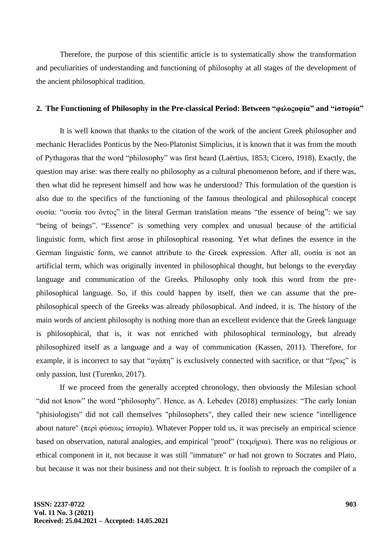Therefore, the purpose of this scientific article is to systematically show the transformation and peculiarities of understanding and functioning of philosophy at all stages of the development of the ancient philosophical tradition.

#### **2. The Functioning of Philosophy in the Pre-classical Period: Between "φιλοςοφία" and "ἱστορία"**

It is well known that thanks to the citation of the work of the ancient Greek philosopher and mechanic Heraclides Ponticus by the Neo-Platonist Simplicius, it is known that it was from the mouth of Pythagoras that the word "philosophy" was first heard (Laërtius, 1853; Cicero, 1918). Exactly, the question may arise: was there really no philosophy as a cultural phenomenon before, and if there was, then what did he represent himself and how was he understood? This formulation of the question is also due to the specifics of the functioning of the famous theological and philosophical concept ουσία: "ουσία του ὄντος" in the literal German translation means "the essence of being": we say "being of beings". "Essence" is something very complex and unusual because of the artificial linguistic form, which first arose in philosophical reasoning. Yet what defines the essence in the German linguistic form, we cannot attribute to the Greek expression. After all, ουσία is not an artificial term, which was originally invented in philosophical thought, but belongs to the everyday language and communication of the Greeks. Philosophy only took this word from the prephilosophical language. So, if this could happen by itself, then we can assume that the prephilosophical speech of the Greeks was already philosophical. And indeed, it is. The history of the main words of ancient philosophy is nothing more than an excellent evidence that the Greek language is philosophical, that is, it was not enriched with philosophical terminology, but already philosophized itself as a language and a way of communication (Kassen, 2011). Therefore, for example, it is incorrect to say that " $\alpha \gamma \dot{\alpha} \pi \eta$ " is exclusively connected with sacrifice, or that "έρως" is only passion, lust (Turenko, 2017).

If we proceed from the generally accepted chronology, then obviously the Milesian school "did not know" the word "philosophy". Hence, as A. Lebedev (2018) emphasizes: "The early Ionian "phisiologists" did not call themselves "philosophers", they called their new science "intelligence about nature" (περὶ φύσεως ἱστορία). Whatever Popper told us, it was precisely an empirical science based on observation, natural analogies, and empirical "proof" (τεκμήρια). There was no religious or ethical component in it, not because it was still "immature" or had not grown to Socrates and Plato, but because it was not their business and not their subject. It is foolish to reproach the compiler of a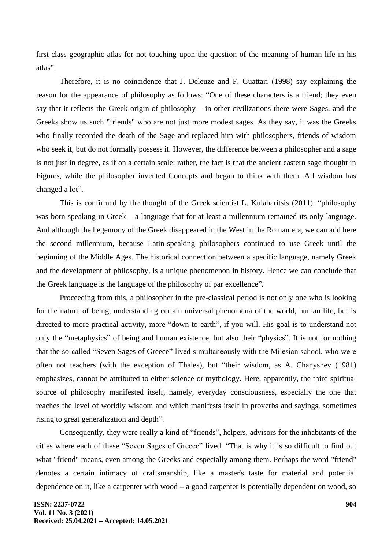first-class geographic atlas for not touching upon the question of the meaning of human life in his atlas".

Therefore, it is no coincidence that J. Deleuze and F. Guattari (1998) say explaining the reason for the appearance of philosophy as follows: "One of these characters is a friend; they even say that it reflects the Greek origin of philosophy – in other civilizations there were Sages, and the Greeks show us such "friends" who are not just more modest sages. As they say, it was the Greeks who finally recorded the death of the Sage and replaced him with philosophers, friends of wisdom who seek it, but do not formally possess it. However, the difference between a philosopher and a sage is not just in degree, as if on a certain scale: rather, the fact is that the ancient eastern sage thought in Figures, while the philosopher invented Concepts and began to think with them. All wisdom has changed a lot".

This is confirmed by the thought of the Greek scientist L. Kulabaritsis (2011): "philosophy was born speaking in Greek – a language that for at least a millennium remained its only language. And although the hegemony of the Greek disappeared in the West in the Roman era, we can add here the second millennium, because Latin-speaking philosophers continued to use Greek until the beginning of the Middle Ages. The historical connection between a specific language, namely Greek and the development of philosophy, is a unique phenomenon in history. Hence we can conclude that the Greek language is the language of the philosophy of par excellence".

Proceeding from this, a philosopher in the pre-classical period is not only one who is looking for the nature of being, understanding certain universal phenomena of the world, human life, but is directed to more practical activity, more "down to earth", if you will. His goal is to understand not only the "metaphysics" of being and human existence, but also their "physics". It is not for nothing that the so-called "Seven Sages of Greece" lived simultaneously with the Milesian school, who were often not teachers (with the exception of Thales), but "their wisdom, as A. Chanyshev (1981) emphasizes, cannot be attributed to either science or mythology. Here, apparently, the third spiritual source of philosophy manifested itself, namely, everyday consciousness, especially the one that reaches the level of worldly wisdom and which manifests itself in proverbs and sayings, sometimes rising to great generalization and depth".

Consequently, they were really a kind of "friends", helpers, advisors for the inhabitants of the cities where each of these "Seven Sages of Greece" lived. "That is why it is so difficult to find out what "friend" means, even among the Greeks and especially among them. Perhaps the word "friend" denotes a certain intimacy of craftsmanship, like a master's taste for material and potential dependence on it, like a carpenter with wood – a good carpenter is potentially dependent on wood, so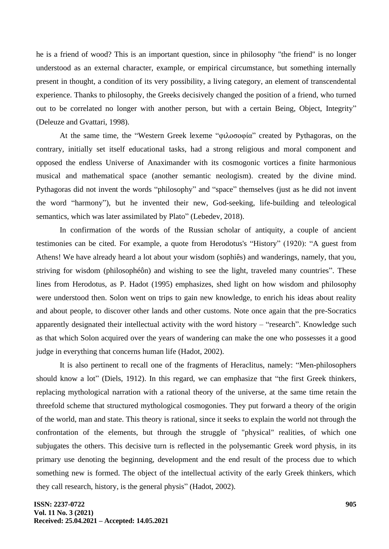he is a friend of wood? This is an important question, since in philosophy "the friend" is no longer understood as an external character, example, or empirical circumstance, but something internally present in thought, a condition of its very possibility, a living category, an element of transcendental experience. Thanks to philosophy, the Greeks decisively changed the position of a friend, who turned out to be correlated no longer with another person, but with a certain Being, Object, Integrity" (Deleuze and Gvattari, 1998).

At the same time, the "Western Greek lexeme "φιλοσοφία" created by Pythagoras, on the contrary, initially set itself educational tasks, had a strong religious and moral component and opposed the endless Universe of Anaximander with its cosmogonic vortices a finite harmonious musical and mathematical space (another semantic neologism). created by the divine mind. Pythagoras did not invent the words "philosophy" and "space" themselves (just as he did not invent the word "harmony"), but he invented their new, God-seeking, life-building and teleological semantics, which was later assimilated by Plato" (Lebedev, 2018).

In confirmation of the words of the Russian scholar of antiquity, a couple of ancient testimonies can be cited. For example, a quote from Herodotus's "History" (1920): "A guest from Athens! We have already heard a lot about your wisdom (sophiês) and wanderings, namely, that you, striving for wisdom (philosophéôn) and wishing to see the light, traveled many countries". These lines from Herodotus, as P. Hadot (1995) emphasizes, shed light on how wisdom and philosophy were understood then. Solon went on trips to gain new knowledge, to enrich his ideas about reality and about people, to discover other lands and other customs. Note once again that the pre-Socratics apparently designated their intellectual activity with the word history – "research". Knowledge such as that which Solon acquired over the years of wandering can make the one who possesses it a good judge in everything that concerns human life (Hadot, 2002).

It is also pertinent to recall one of the fragments of Heraclitus, namely: "Men-philosophers should know a lot" (Diels, 1912). In this regard, we can emphasize that "the first Greek thinkers, replacing mythological narration with a rational theory of the universe, at the same time retain the threefold scheme that structured mythological cosmogonies. They put forward a theory of the origin of the world, man and state. This theory is rational, since it seeks to explain the world not through the confrontation of the elements, but through the struggle of "physical" realities, of which one subjugates the others. This decisive turn is reflected in the polysemantic Greek word physis, in its primary use denoting the beginning, development and the end result of the process due to which something new is formed. The object of the intellectual activity of the early Greek thinkers, which they call research, history, is the general physis" (Hadot, 2002).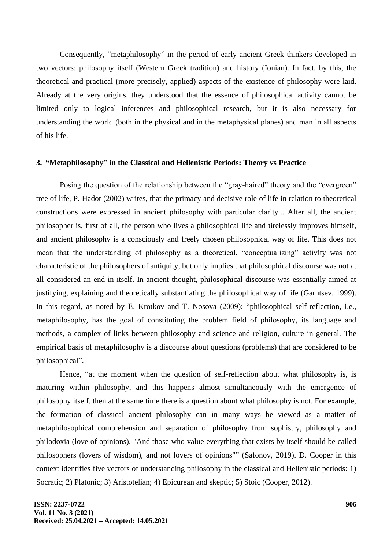Consequently, "metaphilosophy" in the period of early ancient Greek thinkers developed in two vectors: philosophy itself (Western Greek tradition) and history (Ionian). In fact, by this, the theoretical and practical (more precisely, applied) aspects of the existence of philosophy were laid. Already at the very origins, they understood that the essence of philosophical activity cannot be limited only to logical inferences and philosophical research, but it is also necessary for understanding the world (both in the physical and in the metaphysical planes) and man in all aspects of his life.

### **3. "Metaphilosophy" in the Classical and Hellenistic Periods: Theory vs Practice**

Posing the question of the relationship between the "gray-haired" theory and the "evergreen" tree of life, P. Hadot (2002) writes, that the primacy and decisive role of life in relation to theoretical constructions were expressed in ancient philosophy with particular clarity... After all, the ancient philosopher is, first of all, the person who lives a philosophical life and tirelessly improves himself, and ancient philosophy is a consciously and freely chosen philosophical way of life. This does not mean that the understanding of philosophy as a theoretical, "conceptualizing" activity was not characteristic of the philosophers of antiquity, but only implies that philosophical discourse was not at all considered an end in itself. In ancient thought, philosophical discourse was essentially aimed at justifying, explaining and theoretically substantiating the philosophical way of life (Garntsev, 1999). In this regard, as noted by E. Krotkov and T. Nosova (2009): "philosophical self-reflection, i.e., metaphilosophy, has the goal of constituting the problem field of philosophy, its language and methods, a complex of links between philosophy and science and religion, culture in general. The empirical basis of metaphilosophy is a discourse about questions (problems) that are considered to be philosophical".

Hence, "at the moment when the question of self-reflection about what philosophy is, is maturing within philosophy, and this happens almost simultaneously with the emergence of philosophy itself, then at the same time there is a question about what philosophy is not. For example, the formation of classical ancient philosophy can in many ways be viewed as a matter of metaphilosophical comprehension and separation of philosophy from sophistry, philosophy and philodoxia (love of opinions). "And those who value everything that exists by itself should be called philosophers (lovers of wisdom), and not lovers of opinions"" (Safonov, 2019). D. Cooper in this context identifies five vectors of understanding philosophy in the classical and Hellenistic periods: 1) Socratic; 2) Platonic; 3) Aristotelian; 4) Epicurean and skeptic; 5) Stoic (Cooper, 2012).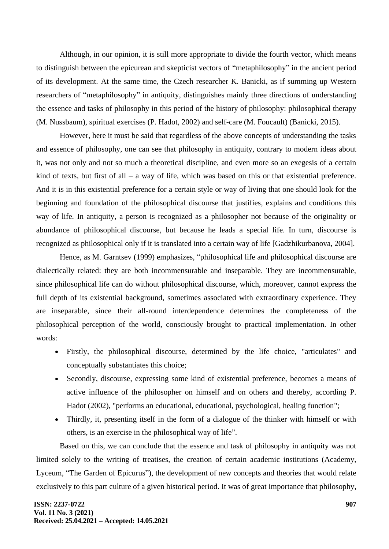Although, in our opinion, it is still more appropriate to divide the fourth vector, which means to distinguish between the epicurean and skepticist vectors of "metaphilosophy" in the ancient period of its development. At the same time, the Czech researcher K. Banicki, as if summing up Western researchers of "metaphilosophy" in antiquity, distinguishes mainly three directions of understanding the essence and tasks of philosophy in this period of the history of philosophy: philosophical therapy (M. Nussbaum), spiritual exercises (P. Hadot, 2002) and self-care (M. Foucault) (Banicki, 2015).

However, here it must be said that regardless of the above concepts of understanding the tasks and essence of philosophy, one can see that philosophy in antiquity, contrary to modern ideas about it, was not only and not so much a theoretical discipline, and even more so an exegesis of a certain kind of texts, but first of all – a way of life, which was based on this or that existential preference. And it is in this existential preference for a certain style or way of living that one should look for the beginning and foundation of the philosophical discourse that justifies, explains and conditions this way of life. In antiquity, a person is recognized as a philosopher not because of the originality or abundance of philosophical discourse, but because he leads a special life. In turn, discourse is recognized as philosophical only if it is translated into a certain way of life [Gadzhikurbanova, 2004].

Hence, as М. Garntsev (1999) emphasizes, "philosophical life and philosophical discourse are dialectically related: they are both incommensurable and inseparable. They are incommensurable, since philosophical life can do without philosophical discourse, which, moreover, cannot express the full depth of its existential background, sometimes associated with extraordinary experience. They are inseparable, since their all-round interdependence determines the completeness of the philosophical perception of the world, consciously brought to practical implementation. In other words:

- Firstly, the philosophical discourse, determined by the life choice, "articulates" and conceptually substantiates this choice;
- Secondly, discourse, expressing some kind of existential preference, becomes a means of active influence of the philosopher on himself and on others and thereby, according P. Hadot (2002), "performs an educational, educational, psychological, healing function";
- Thirdly, it, presenting itself in the form of a dialogue of the thinker with himself or with others, is an exercise in the philosophical way of life".

Based on this, we can conclude that the essence and task of philosophy in antiquity was not limited solely to the writing of treatises, the creation of certain academic institutions (Academy, Lyceum, "The Garden of Epicurus"), the development of new concepts and theories that would relate exclusively to this part culture of a given historical period. It was of great importance that philosophy,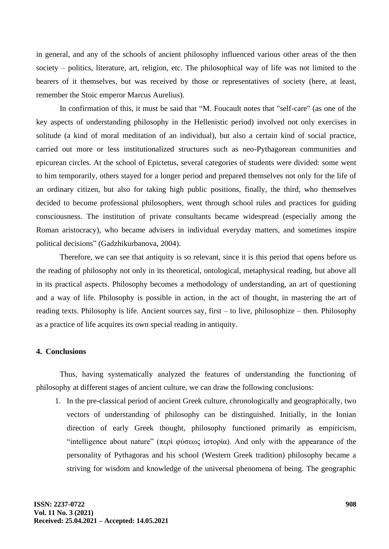in general, and any of the schools of ancient philosophy influenced various other areas of the then society – politics, literature, art, religion, etc. The philosophical way of life was not limited to the bearers of it themselves, but was received by those or representatives of society (here, at least, remember the Stoic emperor Marcus Aurelius).

In confirmation of this, it must be said that "M. Foucault notes that "self-care" (as one of the key aspects of understanding philosophy in the Hellenistic period) involved not only exercises in solitude (a kind of moral meditation of an individual), but also a certain kind of social practice, carried out more or less institutionalized structures such as neo-Pythagorean communities and epicurean circles. At the school of Epictetus, several categories of students were divided: some went to him temporarily, others stayed for a longer period and prepared themselves not only for the life of an ordinary citizen, but also for taking high public positions, finally, the third, who themselves decided to become professional philosophers, went through school rules and practices for guiding consciousness. The institution of private consultants became widespread (especially among the Roman aristocracy), who became advisers in individual everyday matters, and sometimes inspire political decisions" (Gadzhikurbanova, 2004).

Therefore, we can see that antiquity is so relevant, since it is this period that opens before us the reading of philosophy not only in its theoretical, ontological, metaphysical reading, but above all in its practical aspects. Philosophy becomes a methodology of understanding, an art of questioning and a way of life. Philosophy is possible in action, in the act of thought, in mastering the art of reading texts. Philosophy is life. Ancient sources say, first – to live, philosophize – then. Philosophy as a practice of life acquires its own special reading in antiquity.

#### **4. Conclusions**

Thus, having systematically analyzed the features of understanding the functioning of philosophy at different stages of ancient culture, we can draw the following conclusions:

1. In the pre-classical period of ancient Greek culture, chronologically and geographically, two vectors of understanding of philosophy can be distinguished. Initially, in the Ionian direction of early Greek thought, philosophy functioned primarily as empiricism, "intelligence about nature" (περὶ φύσεως ίστορία). And only with the appearance of the personality of Pythagoras and his school (Western Greek tradition) philosophy became a striving for wisdom and knowledge of the universal phenomena of being. The geographic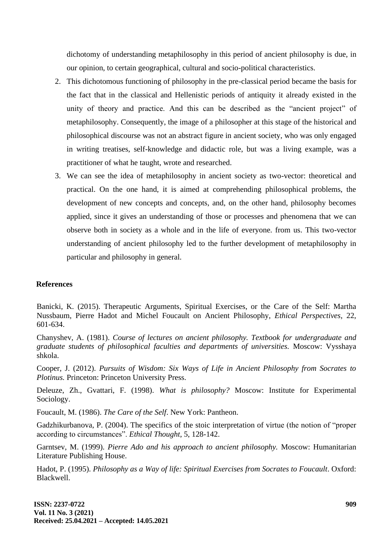dichotomy of understanding metaphilosophy in this period of ancient philosophy is due, in our opinion, to certain geographical, cultural and socio-political characteristics.

- 2. This dichotomous functioning of philosophy in the pre-classical period became the basis for the fact that in the classical and Hellenistic periods of antiquity it already existed in the unity of theory and practice. And this can be described as the "ancient project" of metaphilosophy. Consequently, the image of a philosopher at this stage of the historical and philosophical discourse was not an abstract figure in ancient society, who was only engaged in writing treatises, self-knowledge and didactic role, but was a living example, was a practitioner of what he taught, wrote and researched.
- 3. We can see the idea of metaphilosophy in ancient society as two-vector: theoretical and practical. On the one hand, it is aimed at comprehending philosophical problems, the development of new concepts and concepts, and, on the other hand, philosophy becomes applied, since it gives an understanding of those or processes and phenomena that we can observe both in society as a whole and in the life of everyone. from us. This two-vector understanding of ancient philosophy led to the further development of metaphilosophy in particular and philosophy in general.

# **References**

Banicki, K. (2015). Therapeutic Arguments, Spiritual Exercises, or the Care of the Self: Martha Nussbaum, Pierre Hadot and Michel Foucault on Ancient Philosophy, *Ethical Perspectives*, 22, 601-634.

Chanyshev, A. (1981). *Course of lectures on ancient philosophy. Textbook for undergraduate and graduate students of philosophical faculties and departments of universities.* Moscow: Vysshaya shkola.

Cooper, J. (2012). *Pursuits of Wisdom: Six Ways of Life in Ancient Philosophy from Socrates to Plotinus.* Princeton: Princeton University Press.

Deleuze, Zh., Gvattari, F. (1998). *What is philosophy?* Moscow: Institute for Experimental Sociology.

Foucault, M. (1986). *The Care of the Self*. New York: Pantheon.

Gadzhikurbanova, P. (2004). The specifics of the stoic interpretation of virtue (the notion of "proper according to circumstances". *Ethical Thought*, 5, 128-142.

Garntsev, M. (1999). *Pierre Ado and his approach to ancient philosophy.* Moscow: Humanitarian Literature Publishing House.

Hadot, P. (1995). *Philosophy as a Way of life: Spiritual Exercises from Socrates to Foucault*. Oxford: Blackwell.